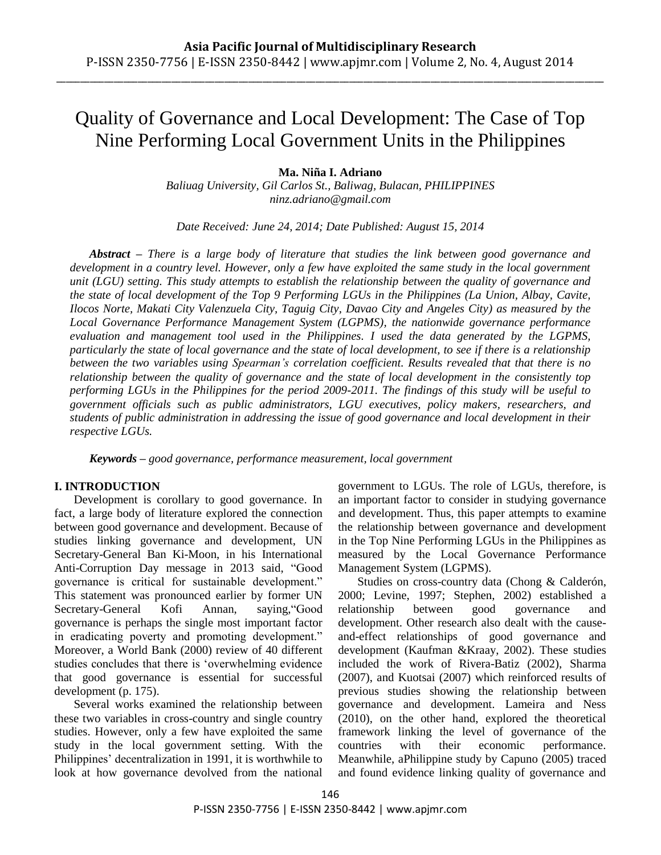\_\_\_\_\_\_\_\_\_\_\_\_\_\_\_\_\_\_\_\_\_\_\_\_\_\_\_\_\_\_\_\_\_\_\_\_\_\_\_\_\_\_\_\_\_\_\_\_\_\_\_\_\_\_\_\_\_\_\_\_\_\_\_\_\_\_\_\_\_\_\_\_\_\_\_\_\_\_\_\_\_\_\_\_\_\_\_\_\_\_\_\_\_\_\_\_\_\_\_\_\_\_\_\_\_\_\_\_\_\_\_\_\_\_

# Quality of Governance and Local Development: The Case of Top Nine Performing Local Government Units in the Philippines

**Ma. Niña I. Adriano**

*Baliuag University, Gil Carlos St., Baliwag, Bulacan, PHILIPPINES ninz.adriano@gmail.com*

*Date Received: June 24, 2014; Date Published: August 15, 2014*

*Abstract – There is a large body of literature that studies the link between good governance and development in a country level. However, only a few have exploited the same study in the local government unit (LGU) setting. This study attempts to establish the relationship between the quality of governance and the state of local development of the Top 9 Performing LGUs in the Philippines (La Union, Albay, Cavite, Ilocos Norte, Makati City Valenzuela City, Taguig City, Davao City and Angeles City) as measured by the Local Governance Performance Management System (LGPMS), the nationwide governance performance evaluation and management tool used in the Philippines. I used the data generated by the LGPMS, particularly the state of local governance and the state of local development, to see if there is a relationship between the two variables using Spearman's correlation coefficient. Results revealed that that there is no relationship between the quality of governance and the state of local development in the consistently top performing LGUs in the Philippines for the period 2009-2011. The findings of this study will be useful to government officials such as public administrators, LGU executives, policy makers, researchers, and students of public administration in addressing the issue of good governance and local development in their respective LGUs.*

*Keywords – good governance, performance measurement, local government* 

#### **I. INTRODUCTION**

Development is corollary to good governance. In fact, a large body of literature explored the connection between good governance and development. Because of studies linking governance and development, UN Secretary-General Ban Ki-Moon, in his International Anti-Corruption Day message in 2013 said, "Good governance is critical for sustainable development." This statement was pronounced earlier by former UN Secretary-General Kofi Annan, saying,"Good governance is perhaps the single most important factor in eradicating poverty and promoting development." Moreover, a World Bank (2000) review of 40 different studies concludes that there is "overwhelming evidence that good governance is essential for successful development (p. 175).

Several works examined the relationship between these two variables in cross-country and single country studies. However, only a few have exploited the same study in the local government setting. With the Philippines' decentralization in 1991, it is worthwhile to look at how governance devolved from the national government to LGUs. The role of LGUs, therefore, is an important factor to consider in studying governance and development. Thus, this paper attempts to examine the relationship between governance and development in the Top Nine Performing LGUs in the Philippines as measured by the Local Governance Performance Management System (LGPMS).

Studies on cross-country data (Chong & Calderón, 2000; Levine, 1997; Stephen, 2002) established a relationship between good governance and development. Other research also dealt with the causeand-effect relationships of good governance and development (Kaufman &Kraay, 2002). These studies included the work of Rivera-Batiz (2002), Sharma (2007), and Kuotsai (2007) which reinforced results of previous studies showing the relationship between governance and development. Lameira and Ness (2010), on the other hand, explored the theoretical framework linking the level of governance of the countries with their economic performance. Meanwhile, aPhilippine study by Capuno (2005) traced and found evidence linking quality of governance and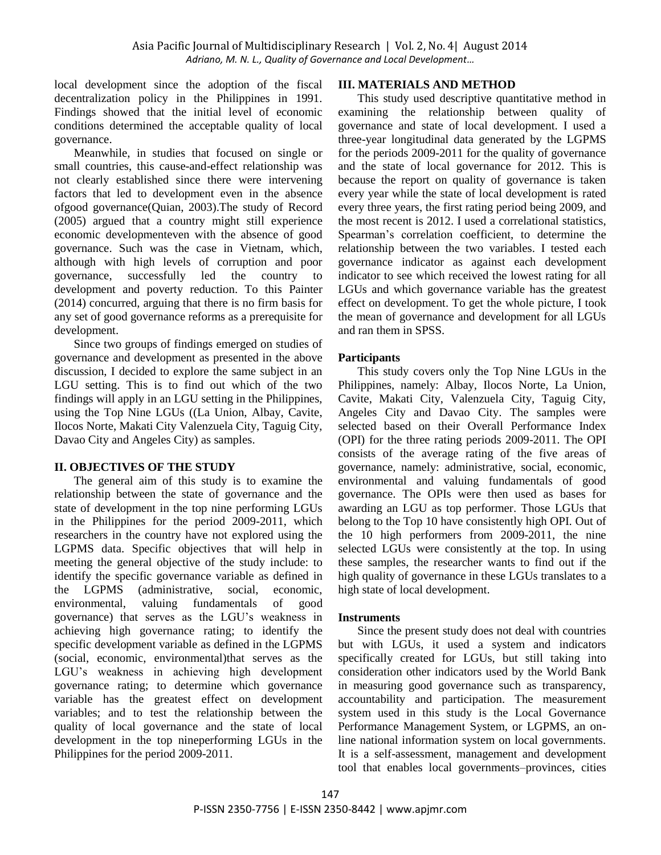local development since the adoption of the fiscal decentralization policy in the Philippines in 1991. Findings showed that the initial level of economic conditions determined the acceptable quality of local governance.

Meanwhile, in studies that focused on single or small countries, this cause-and-effect relationship was not clearly established since there were intervening factors that led to development even in the absence ofgood governance(Quian, 2003).The study of Record (2005) argued that a country might still experience economic developmenteven with the absence of good governance. Such was the case in Vietnam, which, although with high levels of corruption and poor governance, successfully led the country to development and poverty reduction. To this Painter (2014) concurred, arguing that there is no firm basis for any set of good governance reforms as a prerequisite for development.

Since two groups of findings emerged on studies of governance and development as presented in the above discussion, I decided to explore the same subject in an LGU setting. This is to find out which of the two findings will apply in an LGU setting in the Philippines, using the Top Nine LGUs ((La Union, Albay, Cavite, Ilocos Norte, Makati City Valenzuela City, Taguig City, Davao City and Angeles City) as samples.

## **II. OBJECTIVES OF THE STUDY**

The general aim of this study is to examine the relationship between the state of governance and the state of development in the top nine performing LGUs in the Philippines for the period 2009-2011, which researchers in the country have not explored using the LGPMS data. Specific objectives that will help in meeting the general objective of the study include: to identify the specific governance variable as defined in the LGPMS (administrative, social, economic, environmental, valuing fundamentals of good governance) that serves as the LGU"s weakness in achieving high governance rating; to identify the specific development variable as defined in the LGPMS (social, economic, environmental)that serves as the LGU"s weakness in achieving high development governance rating; to determine which governance variable has the greatest effect on development variables; and to test the relationship between the quality of local governance and the state of local development in the top nineperforming LGUs in the Philippines for the period 2009-2011.

#### **III. MATERIALS AND METHOD**

This study used descriptive quantitative method in examining the relationship between quality of governance and state of local development. I used a three-year longitudinal data generated by the LGPMS for the periods 2009-2011 for the quality of governance and the state of local governance for 2012. This is because the report on quality of governance is taken every year while the state of local development is rated every three years, the first rating period being 2009, and the most recent is 2012. I used a correlational statistics, Spearman"s correlation coefficient, to determine the relationship between the two variables. I tested each governance indicator as against each development indicator to see which received the lowest rating for all LGUs and which governance variable has the greatest effect on development. To get the whole picture, I took the mean of governance and development for all LGUs and ran them in SPSS.

#### **Participants**

This study covers only the Top Nine LGUs in the Philippines, namely: Albay, Ilocos Norte, La Union, Cavite, Makati City, Valenzuela City, Taguig City, Angeles City and Davao City. The samples were selected based on their Overall Performance Index (OPI) for the three rating periods 2009-2011. The OPI consists of the average rating of the five areas of governance, namely: administrative, social, economic, environmental and valuing fundamentals of good governance. The OPIs were then used as bases for awarding an LGU as top performer. Those LGUs that belong to the Top 10 have consistently high OPI. Out of the 10 high performers from 2009-2011, the nine selected LGUs were consistently at the top. In using these samples, the researcher wants to find out if the high quality of governance in these LGUs translates to a high state of local development.

#### **Instruments**

Since the present study does not deal with countries but with LGUs, it used a system and indicators specifically created for LGUs, but still taking into consideration other indicators used by the World Bank in measuring good governance such as transparency, accountability and participation. The measurement system used in this study is the Local Governance Performance Management System, or LGPMS, an online national information system on local governments. It is a self-assessment, management and development tool that enables local governments–provinces, cities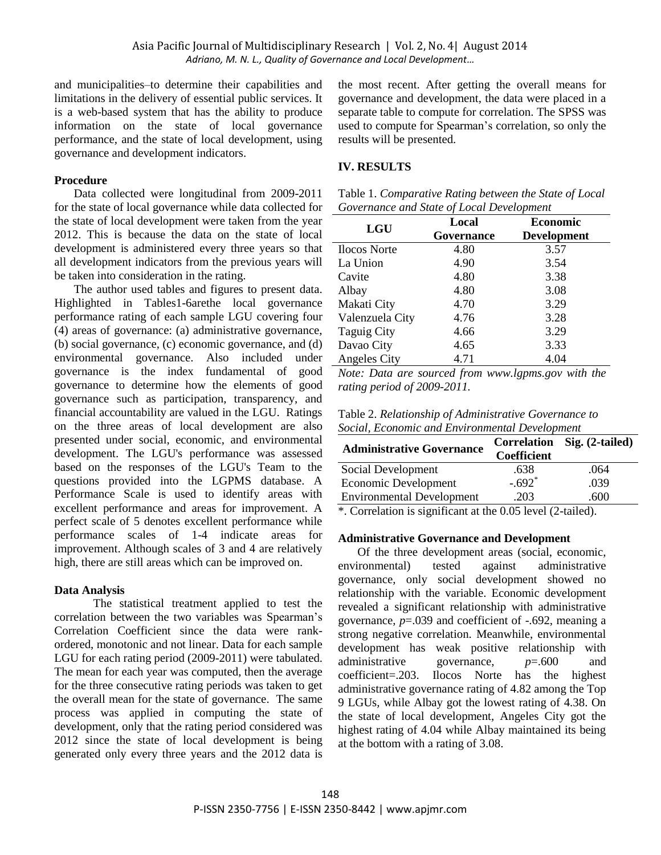and municipalities–to determine their capabilities and limitations in the delivery of essential public services. It is a web-based system that has the ability to produce information on the state of local governance performance, and the state of local development, using governance and development indicators.

#### **Procedure**

Data collected were longitudinal from 2009-2011 for the state of local governance while data collected for the state of local development were taken from the year 2012. This is because the data on the state of local development is administered every three years so that all development indicators from the previous years will be taken into consideration in the rating.

The author used tables and figures to present data. Highlighted in Tables1-6arethe local governance performance rating of each sample LGU covering four (4) areas of governance: (a) administrative governance, (b) social governance, (c) economic governance, and (d) environmental governance. Also included under governance is the index fundamental of good governance to determine how the elements of good governance such as participation, transparency, and financial accountability are valued in the LGU. Ratings on the three areas of local development are also presented under social, economic, and environmental development. The LGU's performance was assessed based on the responses of the LGU's Team to the questions provided into the LGPMS database. A Performance Scale is used to identify areas with excellent performance and areas for improvement. A perfect scale of 5 denotes excellent performance while performance scales of 1-4 indicate areas for improvement. Although scales of 3 and 4 are relatively high, there are still areas which can be improved on.

## **Data Analysis**

The statistical treatment applied to test the correlation between the two variables was Spearman"s Correlation Coefficient since the data were rankordered, monotonic and not linear. Data for each sample LGU for each rating period (2009-2011) were tabulated. The mean for each year was computed, then the average for the three consecutive rating periods was taken to get the overall mean for the state of governance. The same process was applied in computing the state of development, only that the rating period considered was 2012 since the state of local development is being generated only every three years and the 2012 data is the most recent. After getting the overall means for governance and development, the data were placed in a separate table to compute for correlation. The SPSS was used to compute for Spearman"s correlation, so only the results will be presented.

Table 1. *Comparative Rating between the State of Local* 

## **IV. RESULTS**

| Governance and State of Local Development |            |                    |  |  |  |  |
|-------------------------------------------|------------|--------------------|--|--|--|--|
| LGU                                       | Local      | <b>Economic</b>    |  |  |  |  |
|                                           | Governance | <b>Development</b> |  |  |  |  |
| <b>Ilocos Norte</b>                       | 4.80       | 3.57               |  |  |  |  |
| La Union                                  | 4.90       | 3.54               |  |  |  |  |
| Cavite                                    | 4.80       | 3.38               |  |  |  |  |
| Albay                                     | 4.80       | 3.08               |  |  |  |  |
| Makati City                               | 4.70       | 3.29               |  |  |  |  |
| Valenzuela City                           | 4.76       | 3.28               |  |  |  |  |
| <b>Taguig City</b>                        | 4.66       | 3.29               |  |  |  |  |
| Davao City                                | 4.65       | 3.33               |  |  |  |  |
| <b>Angeles City</b>                       | 4.71       | 4.04               |  |  |  |  |

*Note: Data are sourced from www.lgpms.gov with the rating period of 2009-2011.*

| Table 2. Relationship of Administrative Governance to |
|-------------------------------------------------------|
| Social, Economic and Environmental Development        |

| <b>Administrative Governance</b> | <b>Coefficient</b>   | Correlation Sig. (2-tailed) |
|----------------------------------|----------------------|-----------------------------|
| Social Development               | .638                 | .064                        |
| Economic Development             | $-.692$ <sup>*</sup> | .039                        |
| <b>Environmental Development</b> | .203                 | .600                        |
|                                  |                      |                             |

\*. Correlation is significant at the 0.05 level (2-tailed).

#### **Administrative Governance and Development**

Of the three development areas (social, economic, environmental) tested against administrative governance, only social development showed no relationship with the variable. Economic development revealed a significant relationship with administrative governance, *p*=.039 and coefficient of -.692, meaning a strong negative correlation. Meanwhile, environmental development has weak positive relationship with administrative governance, *p*=.600 and coefficient=.203. Ilocos Norte has the highest administrative governance rating of 4.82 among the Top 9 LGUs, while Albay got the lowest rating of 4.38. On the state of local development, Angeles City got the highest rating of 4.04 while Albay maintained its being at the bottom with a rating of 3.08.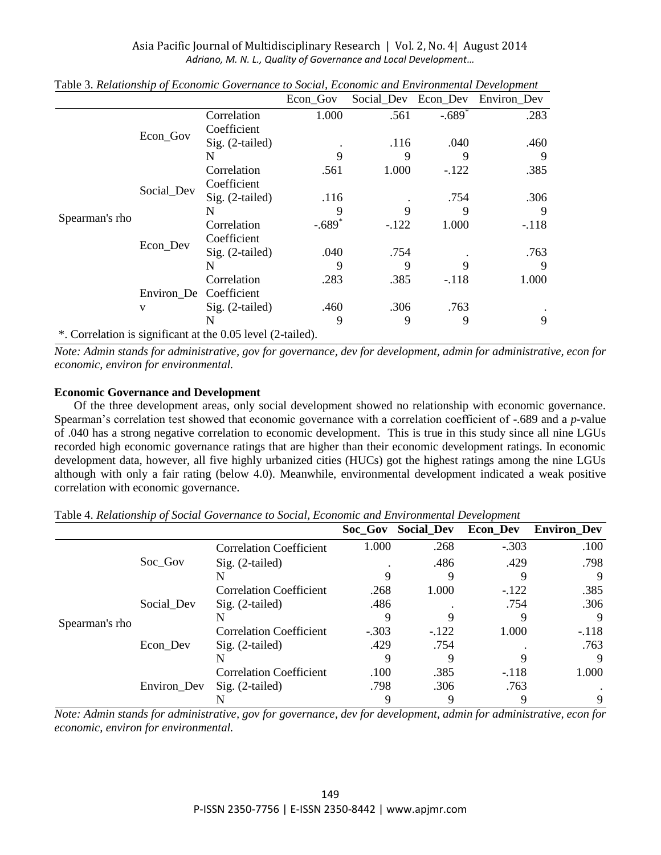Asia Pacific Journal of Multidisciplinary Research | Vol. 2, No. 4| August 2014 *Adriano, M. N. L., Quality of Governance and Local Development…*

|                                                             |            |                   | Econ_Gov | Social_Dev Econ_Dev |          | Environ Dev |
|-------------------------------------------------------------|------------|-------------------|----------|---------------------|----------|-------------|
|                                                             |            | Correlation       | 1.000    | .561                | $-.689*$ | .283        |
|                                                             | Econ_Gov   | Coefficient       |          |                     |          |             |
|                                                             |            | Sig. (2-tailed)   |          | .116                | .040     | .460        |
|                                                             |            | N                 | 9        | 9                   | 9        | 9           |
|                                                             |            | Correlation       | .561     | 1.000               | $-122$   | .385        |
|                                                             | Social_Dev | Coefficient       |          |                     |          |             |
|                                                             |            | $Sig. (2-tailed)$ | .116     |                     | .754     | .306        |
|                                                             |            | N                 | 9        | 9                   | 9        | 9           |
| Spearman's rho                                              | Econ_Dev   | Correlation       | $-.689*$ | $-122$              | 1.000    | $-.118$     |
|                                                             |            | Coefficient       |          |                     |          |             |
|                                                             |            | Sig. (2-tailed)   | .040     | .754                |          | .763        |
|                                                             |            | N                 | 9        | 9                   | 9        | 9           |
|                                                             |            | Correlation       | .283     | .385                | $-.118$  | 1.000       |
|                                                             | Environ_De | Coefficient       |          |                     |          |             |
|                                                             | V          | $Sig. (2-tailed)$ | .460     | .306                | .763     |             |
|                                                             |            | N                 | 9        | 9                   | 9        | 9           |
| *. Correlation is significant at the 0.05 level (2-tailed). |            |                   |          |                     |          |             |

*Note: Admin stands for administrative, gov for governance, dev for development, admin for administrative, econ for economic, environ for environmental.* 

## **Economic Governance and Development**

Of the three development areas, only social development showed no relationship with economic governance. Spearman"s correlation test showed that economic governance with a correlation coefficient of -.689 and a *p*-value of .040 has a strong negative correlation to economic development. This is true in this study since all nine LGUs recorded high economic governance ratings that are higher than their economic development ratings. In economic development data, however, all five highly urbanized cities (HUCs) got the highest ratings among the nine LGUs although with only a fair rating (below 4.0). Meanwhile, environmental development indicated a weak positive correlation with economic governance.

|                      |                      |                                | Soc Gov | <b>Social Dev</b> | <b>Econ Dev</b> | <b>Environ Dev</b> |
|----------------------|----------------------|--------------------------------|---------|-------------------|-----------------|--------------------|
|                      |                      | <b>Correlation Coefficient</b> | 1.000   | .268              | $-.303$         | $.100\,$           |
|                      | Soc_Gov              | $Sig. (2-tailed)$              |         | .486              | .429            | .798               |
|                      |                      | N                              |         |                   |                 | 9                  |
|                      |                      | <b>Correlation Coefficient</b> | .268    | 1.000             | $-.122$         | .385               |
| Spearman's rho       | Social Dev           | $Sig. (2-tailed)$              | .486    |                   | .754            | .306               |
|                      |                      | N                              |         |                   |                 | 9                  |
|                      | Econ_Dev             | <b>Correlation Coefficient</b> | $-.303$ | $-122$            | 1.000           | $-.118$            |
|                      |                      | $Sig. (2-tailed)$              | .429    | .754              |                 | .763               |
|                      |                      | N                              | 9       | 9                 |                 | 9                  |
|                      | Environ_Dev          | <b>Correlation Coefficient</b> | .100    | .385              | $-.118$         | 1.000              |
|                      |                      | $Sig. (2-tailed)$              | .798    | .306              | .763            |                    |
| $\sim$ $\sim$ $\sim$ | $\sim$ $\sim$ $\sim$ |                                |         | 9                 |                 | 9                  |

Table 4. *Relationship of Social Governance to Social, Economic and Environmental Development*

*Note: Admin stands for administrative, gov for governance, dev for development, admin for administrative, econ for economic, environ for environmental.*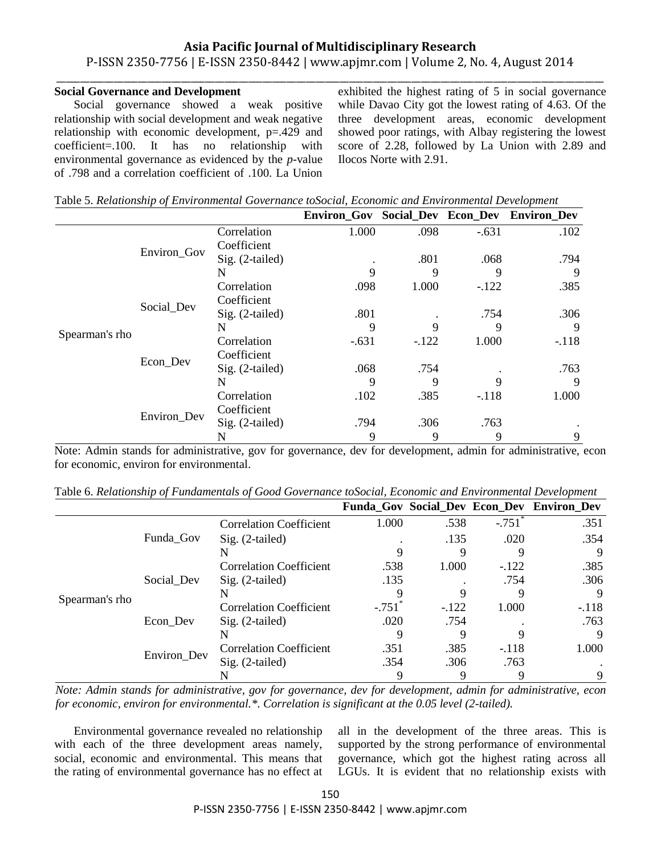## **Asia Pacific Journal of Multidisciplinary Research** P-ISSN 2350-7756 | E-ISSN 2350-8442 | www.apjmr.com | Volume 2, No. 4, August 2014

\_\_\_\_\_\_\_\_\_\_\_\_\_\_\_\_\_\_\_\_\_\_\_\_\_\_\_\_\_\_\_\_\_\_\_\_\_\_\_\_\_\_\_\_\_\_\_\_\_\_\_\_\_\_\_\_\_\_\_\_\_\_\_\_\_\_\_\_\_\_\_\_\_\_\_\_\_\_\_\_\_\_\_\_\_\_\_\_\_\_\_\_\_\_\_\_\_\_\_\_\_\_\_\_\_\_\_\_\_\_\_\_\_\_

## **Social Governance and Development**

Social governance showed a weak positive relationship with social development and weak negative relationship with economic development, p=.429 and coefficient=.100. It has no relationship with environmental governance as evidenced by the *p*-value of .798 and a correlation coefficient of .100. La Union exhibited the highest rating of 5 in social governance while Davao City got the lowest rating of 4.63. Of the three development areas, economic development showed poor ratings, with Albay registering the lowest score of 2.28, followed by La Union with 2.89 and Ilocos Norte with 2.91.

| Table 5. Relationship of Environmental Governance toSocial, Economic and Environmental Development |  |  |  |  |
|----------------------------------------------------------------------------------------------------|--|--|--|--|
|----------------------------------------------------------------------------------------------------|--|--|--|--|

|                |             |                   | Environ_Gov Social_Dev Econ_Dev Environ_Dev |        |         |         |
|----------------|-------------|-------------------|---------------------------------------------|--------|---------|---------|
|                |             | Correlation       | 1.000                                       | .098   | $-.631$ | .102    |
|                | Environ_Gov | Coefficient       |                                             |        |         |         |
|                |             | Sig. (2-tailed)   |                                             | .801   | .068    | .794    |
|                |             | N                 | 9                                           | 9      | 9       | 9       |
|                |             | Correlation       | .098                                        | 1.000  | $-122$  | .385    |
|                | Social_Dev  | Coefficient       |                                             |        |         |         |
|                |             | Sig. (2-tailed)   | .801                                        |        | .754    | .306    |
| Spearman's rho |             | N                 | 9                                           | 9      | 9       | 9       |
|                | Econ_Dev    | Correlation       | $-.631$                                     | $-122$ | 1.000   | $-.118$ |
|                |             | Coefficient       |                                             |        |         |         |
|                |             | $Sig. (2-tailed)$ | .068                                        | .754   |         | .763    |
|                |             | N                 | 9                                           | 9      | 9       | 9       |
|                |             | Correlation       | .102                                        | .385   | $-.118$ | 1.000   |
|                | Environ_Dev | Coefficient       |                                             |        |         |         |
|                |             | Sig. (2-tailed)   | .794                                        | .306   | .763    |         |
|                |             | N                 | 9                                           | 9      | 9       | 9       |

Note: Admin stands for administrative, gov for governance, dev for development, admin for administrative, econ for economic, environ for environmental.

|  | Table 6. Relationship of Fundamentals of Good Governance toSocial, Economic and Environmental Development |  |
|--|-----------------------------------------------------------------------------------------------------------|--|
|  |                                                                                                           |  |

|             | <b>Correlation Coefficient</b> | 1.000                | .538    | $-.751$ <sup>*</sup> | .351                                      |
|-------------|--------------------------------|----------------------|---------|----------------------|-------------------------------------------|
| Funda Gov   | $Sig. (2-tailed)$              |                      | .135    | .020                 | .354                                      |
|             |                                | 9                    |         |                      | 9                                         |
|             | <b>Correlation Coefficient</b> | .538                 | 1.000   | $-122$               | .385                                      |
| Social Dev  | $Sig. (2-tailed)$              | .135                 |         | .754                 | .306                                      |
|             |                                |                      |         |                      | 9                                         |
|             | <b>Correlation Coefficient</b> | $-.751$ <sup>*</sup> | $-.122$ | 1.000                | $-.118$                                   |
| Econ Dev    | $Sig. (2-tailed)$              | .020                 | .754    |                      | .763                                      |
|             |                                | 9                    |         | 9                    | 9                                         |
| Environ_Dev | <b>Correlation Coefficient</b> | .351                 | .385    | $-.118$              | 1.000                                     |
|             | $Sig. (2-tailed)$              | .354                 | .306    | .763                 |                                           |
|             |                                | 9                    | 9       |                      |                                           |
|             |                                |                      |         |                      | Funda_Gov Social_Dev Econ_Dev Environ_Dev |

*Note: Admin stands for administrative, gov for governance, dev for development, admin for administrative, econ for economic, environ for environmental.\*. Correlation is significant at the 0.05 level (2-tailed).*

Environmental governance revealed no relationship with each of the three development areas namely, social, economic and environmental. This means that the rating of environmental governance has no effect at all in the development of the three areas. This is supported by the strong performance of environmental governance, which got the highest rating across all LGUs. It is evident that no relationship exists with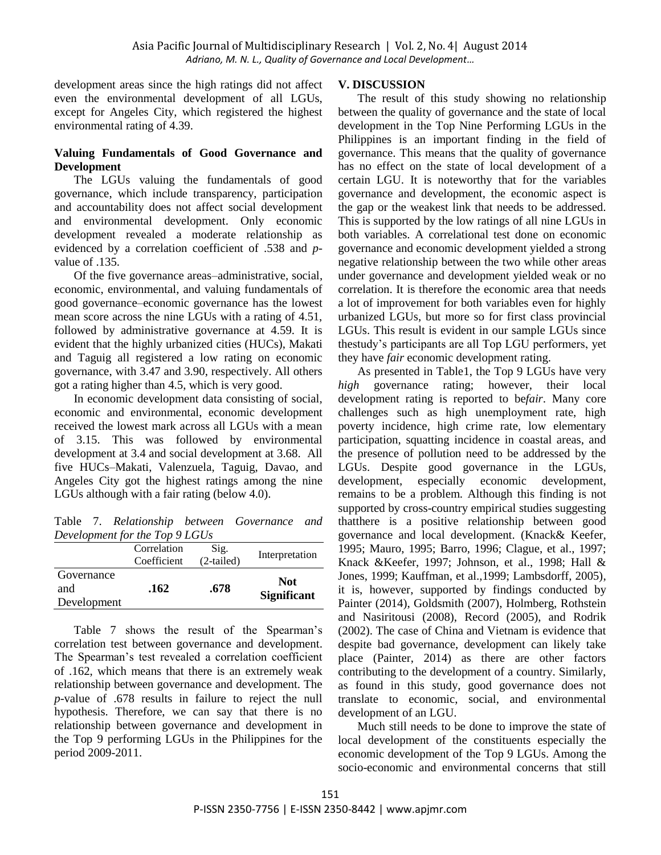development areas since the high ratings did not affect even the environmental development of all LGUs, except for Angeles City, which registered the highest environmental rating of 4.39.

## **Valuing Fundamentals of Good Governance and Development**

The LGUs valuing the fundamentals of good governance, which include transparency, participation and accountability does not affect social development and environmental development. Only economic development revealed a moderate relationship as evidenced by a correlation coefficient of .538 and *p*value of .135.

Of the five governance areas–administrative, social, economic, environmental, and valuing fundamentals of good governance–economic governance has the lowest mean score across the nine LGUs with a rating of 4.51, followed by administrative governance at 4.59. It is evident that the highly urbanized cities (HUCs), Makati and Taguig all registered a low rating on economic governance, with 3.47 and 3.90, respectively. All others got a rating higher than 4.5, which is very good.

In economic development data consisting of social, economic and environmental, economic development received the lowest mark across all LGUs with a mean of 3.15. This was followed by environmental development at 3.4 and social development at 3.68. All five HUCs–Makati, Valenzuela, Taguig, Davao, and Angeles City got the highest ratings among the nine LGUs although with a fair rating (below 4.0).

Table 7. *Relationship between Governance and Development for the Top 9 LGUs*

|                   | Correlation | Sig.         |                    |
|-------------------|-------------|--------------|--------------------|
|                   | Coefficient | $(2-tailed)$ | Interpretation     |
| Governance<br>and | .162        | .678         | <b>Not</b>         |
| Development       |             |              | <b>Significant</b> |

Table 7 shows the result of the Spearman's correlation test between governance and development. The Spearman"s test revealed a correlation coefficient of .162, which means that there is an extremely weak relationship between governance and development. The *p*-value of .678 results in failure to reject the null hypothesis. Therefore, we can say that there is no relationship between governance and development in the Top 9 performing LGUs in the Philippines for the period 2009-2011.

## **V. DISCUSSION**

The result of this study showing no relationship between the quality of governance and the state of local development in the Top Nine Performing LGUs in the Philippines is an important finding in the field of governance. This means that the quality of governance has no effect on the state of local development of a certain LGU. It is noteworthy that for the variables governance and development, the economic aspect is the gap or the weakest link that needs to be addressed. This is supported by the low ratings of all nine LGUs in both variables. A correlational test done on economic governance and economic development yielded a strong negative relationship between the two while other areas under governance and development yielded weak or no correlation. It is therefore the economic area that needs a lot of improvement for both variables even for highly urbanized LGUs, but more so for first class provincial LGUs. This result is evident in our sample LGUs since thestudy"s participants are all Top LGU performers, yet they have *fair* economic development rating.

As presented in Table1, the Top 9 LGUs have very *high* governance rating; however, their local development rating is reported to be*fair*. Many core challenges such as high unemployment rate, high poverty incidence, high crime rate, low elementary participation, squatting incidence in coastal areas, and the presence of pollution need to be addressed by the LGUs. Despite good governance in the LGUs, development, especially economic development, remains to be a problem. Although this finding is not supported by cross-country empirical studies suggesting thatthere is a positive relationship between good governance and local development. (Knack& Keefer, 1995; Mauro, 1995; Barro, 1996; Clague, et al., 1997; Knack &Keefer, 1997; Johnson, et al., 1998; Hall & Jones, 1999; Kauffman, et al.,1999; Lambsdorff, 2005), it is, however, supported by findings conducted by Painter (2014), Goldsmith (2007), Holmberg, Rothstein and Nasiritousi (2008), Record (2005), and Rodrik (2002). The case of China and Vietnam is evidence that despite bad governance, development can likely take place (Painter, 2014) as there are other factors contributing to the development of a country. Similarly, as found in this study, good governance does not translate to economic, social, and environmental development of an LGU.

Much still needs to be done to improve the state of local development of the constituents especially the economic development of the Top 9 LGUs. Among the socio-economic and environmental concerns that still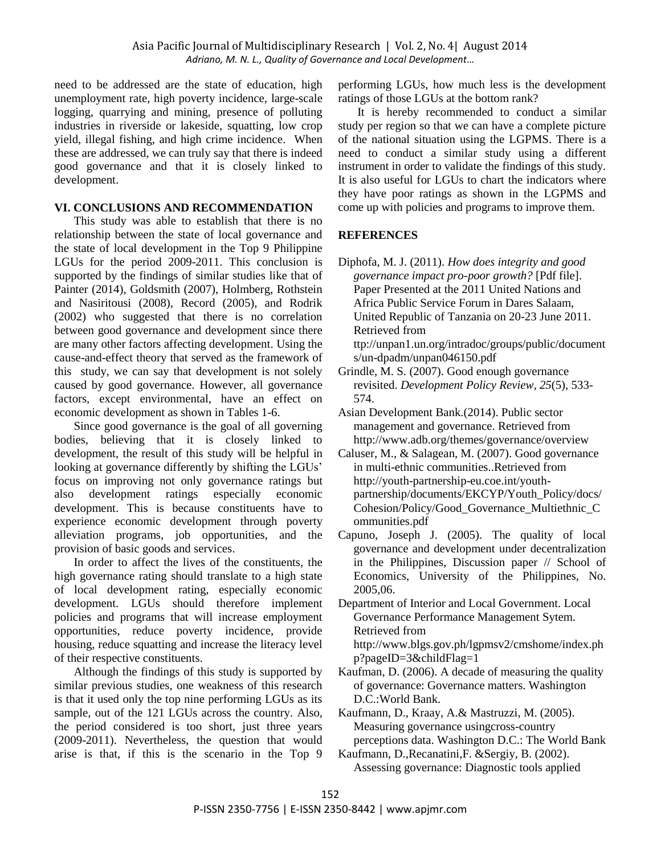need to be addressed are the state of education, high unemployment rate, high poverty incidence, large-scale logging, quarrying and mining, presence of polluting industries in riverside or lakeside, squatting, low crop yield, illegal fishing, and high crime incidence. When these are addressed, we can truly say that there is indeed good governance and that it is closely linked to development.

## **VI. CONCLUSIONS AND RECOMMENDATION**

This study was able to establish that there is no relationship between the state of local governance and the state of local development in the Top 9 Philippine LGUs for the period 2009-2011. This conclusion is supported by the findings of similar studies like that of Painter (2014), Goldsmith (2007), Holmberg, Rothstein and Nasiritousi (2008), Record (2005), and Rodrik (2002) who suggested that there is no correlation between good governance and development since there are many other factors affecting development. Using the cause-and-effect theory that served as the framework of this study, we can say that development is not solely caused by good governance. However, all governance factors, except environmental, have an effect on economic development as shown in Tables 1-6.

Since good governance is the goal of all governing bodies, believing that it is closely linked to development, the result of this study will be helpful in looking at governance differently by shifting the LGUs' focus on improving not only governance ratings but also development ratings especially economic development. This is because constituents have to experience economic development through poverty alleviation programs, job opportunities, and the provision of basic goods and services.

In order to affect the lives of the constituents, the high governance rating should translate to a high state of local development rating, especially economic development. LGUs should therefore implement policies and programs that will increase employment opportunities, reduce poverty incidence, provide housing, reduce squatting and increase the literacy level of their respective constituents.

Although the findings of this study is supported by similar previous studies, one weakness of this research is that it used only the top nine performing LGUs as its sample, out of the 121 LGUs across the country. Also, the period considered is too short, just three years (2009-2011). Nevertheless, the question that would arise is that, if this is the scenario in the Top 9

performing LGUs, how much less is the development ratings of those LGUs at the bottom rank?

It is hereby recommended to conduct a similar study per region so that we can have a complete picture of the national situation using the LGPMS. There is a need to conduct a similar study using a different instrument in order to validate the findings of this study. It is also useful for LGUs to chart the indicators where they have poor ratings as shown in the LGPMS and come up with policies and programs to improve them.

## **REFERENCES**

Diphofa, M. J. (2011). *How does integrity and good governance impact pro-poor growth?* [Pdf file]. Paper Presented at the 2011 United Nations and Africa Public Service Forum in Dares Salaam, United Republic of Tanzania on 20-23 June 2011. Retrieved from ttp://unpan1.un.org/intradoc/groups/public/document s/un-dpadm/unpan046150.pdf

- Grindle, M. S. (2007). Good enough governance revisited. *Development Policy Review*, *25*(5), 533- 574.
- Asian Development Bank.(2014). Public sector management and governance. Retrieved from http://www.adb.org/themes/governance/overview
- Caluser, M., & Salagean, M. (2007). Good governance in multi-ethnic communities..Retrieved from http://youth-partnership-eu.coe.int/youthpartnership/documents/EKCYP/Youth\_Policy/docs/ Cohesion/Policy/Good\_Governance\_Multiethnic\_C ommunities.pdf
- Capuno, Joseph J. (2005). The quality of local governance and development under decentralization in the Philippines, Discussion paper // School of Economics, University of the Philippines, No. 2005,06.

Department of Interior and Local Government. Local Governance Performance Management Sytem. Retrieved from http://www.blgs.gov.ph/lgpmsv2/cmshome/index.ph p?pageID=3&childFlag=1

- Kaufman, D. (2006). A decade of measuring the quality of governance: Governance matters. Washington D.C.:World Bank.
- Kaufmann, D., Kraay, A.& Mastruzzi, M. (2005). Measuring governance usingcross-country perceptions data. Washington D.C.: The World Bank
- Kaufmann, D.,Recanatini,F. &Sergiy, B. (2002). Assessing governance: Diagnostic tools applied